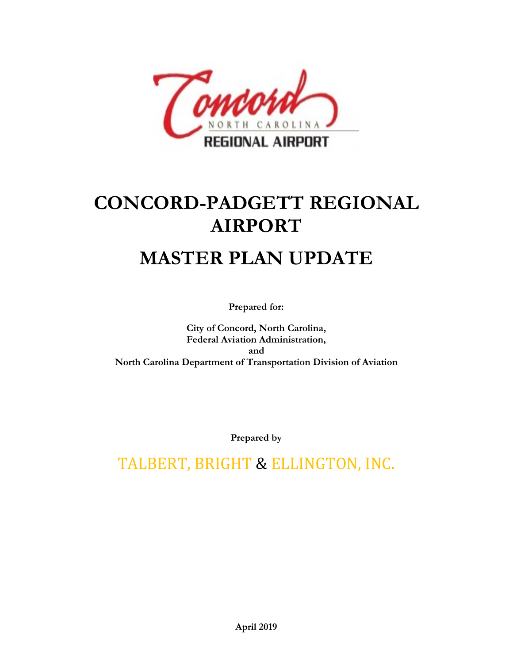

# **CONCORD-PADGETT REGIONAL AIRPORT**

## **MASTER PLAN UPDATE**

**Prepared for:**

**City of Concord, North Carolina, Federal Aviation Administration, and North Carolina Department of Transportation Division of Aviation**

**Prepared by**

TALBERT, BRIGHT & ELLINGTON, INC.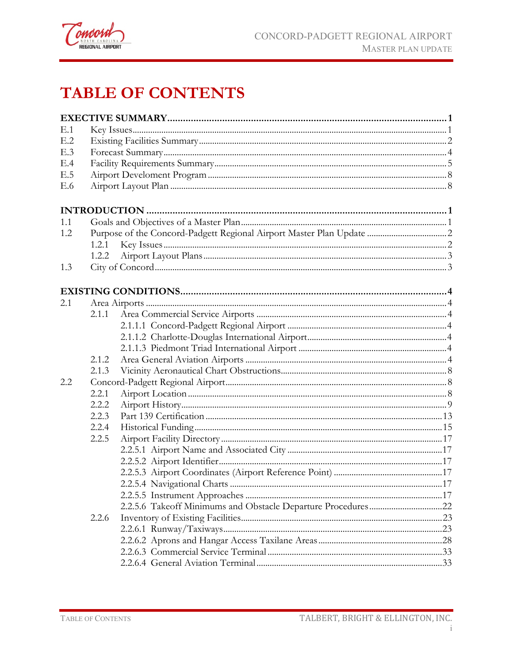

### **TABLE OF CONTENTS**

| E.1 |       |  |
|-----|-------|--|
| E.2 |       |  |
| E.3 |       |  |
| E.4 |       |  |
| E.5 |       |  |
| E.6 |       |  |
|     |       |  |
| 1.1 |       |  |
| 1.2 |       |  |
|     | 1.2.1 |  |
|     |       |  |
| 1.3 |       |  |
|     |       |  |
| 2.1 |       |  |
|     | 2.1.1 |  |
|     |       |  |
|     |       |  |
|     |       |  |
|     | 2.1.2 |  |
|     | 2.1.3 |  |
| 2.2 |       |  |
|     | 2.2.1 |  |
|     | 2.2.2 |  |
|     | 2.2.3 |  |
|     | 2.2.4 |  |
|     | 2.2.5 |  |
|     |       |  |
|     |       |  |
|     |       |  |
|     |       |  |
|     |       |  |
|     |       |  |
|     | 2.2.6 |  |
|     |       |  |
|     |       |  |
|     |       |  |
|     |       |  |
|     |       |  |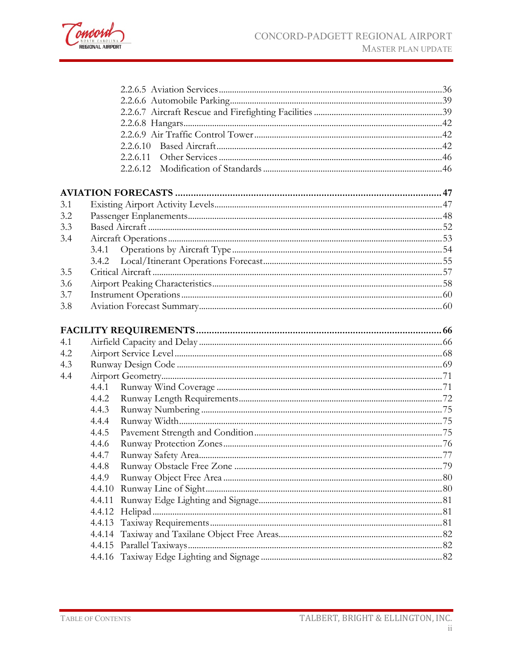

|     | 2.2.6.10 |  |
|-----|----------|--|
|     |          |  |
|     |          |  |
|     |          |  |
| 3.1 |          |  |
| 3.2 |          |  |
| 3.3 |          |  |
| 3.4 |          |  |
|     | 3.4.1    |  |
|     | 3.4.2    |  |
| 3.5 |          |  |
| 3.6 |          |  |
| 3.7 |          |  |
| 3.8 |          |  |
|     |          |  |
|     |          |  |
| 4.1 |          |  |
| 4.2 |          |  |
| 4.3 |          |  |
| 4.4 |          |  |
|     | 4.4.1    |  |
|     | 4.4.2    |  |
|     | 4.4.3    |  |
|     | 4.4.4    |  |
|     | 4.4.5    |  |
|     | 4.4.6    |  |
|     | 4.4.7    |  |
|     | 4.4.8    |  |
|     | 4.4.9    |  |
|     |          |  |
|     | 4.4.11   |  |
|     | 4.4.12   |  |
|     | 4.4.13   |  |
|     |          |  |
|     | 4.4.15   |  |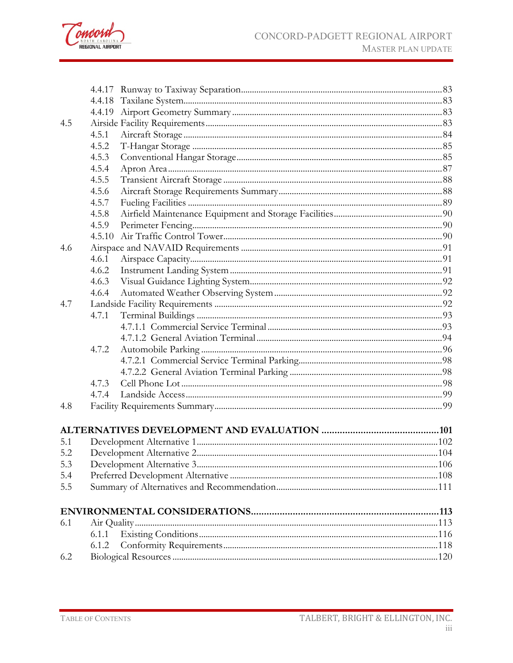

| 4.5 |       |  |
|-----|-------|--|
|     | 4.5.1 |  |
|     | 4.5.2 |  |
|     | 4.5.3 |  |
|     | 4.5.4 |  |
|     | 4.5.5 |  |
|     | 4.5.6 |  |
|     | 4.5.7 |  |
|     | 4.5.8 |  |
|     | 4.5.9 |  |
|     |       |  |
| 4.6 |       |  |
|     | 4.6.1 |  |
|     | 4.6.2 |  |
|     | 4.6.3 |  |
|     | 4.6.4 |  |
| 4.7 |       |  |
|     | 4.7.1 |  |
|     |       |  |
|     |       |  |
|     | 4.7.2 |  |
|     |       |  |
|     |       |  |
|     | 4.7.3 |  |
|     | 4.7.4 |  |
| 4.8 |       |  |
|     |       |  |
| 5.1 |       |  |
| 5.2 |       |  |
| 5.3 |       |  |
| 5.4 |       |  |
| 5.5 |       |  |
|     |       |  |
| 6.1 |       |  |
|     | 6.1.1 |  |
|     | 6.1.2 |  |
| 6.2 |       |  |
|     |       |  |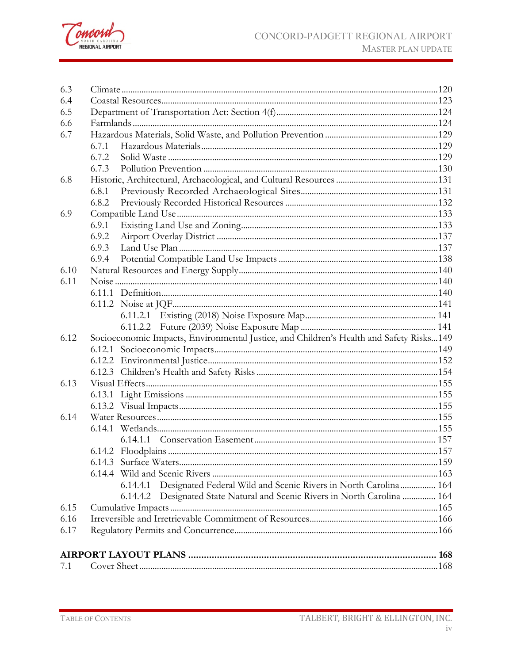

| 6.3  |                                                                                         |  |
|------|-----------------------------------------------------------------------------------------|--|
| 6.4  |                                                                                         |  |
| 6.5  |                                                                                         |  |
| 6.6  |                                                                                         |  |
| 6.7  |                                                                                         |  |
|      | 6.7.1                                                                                   |  |
|      | 6.7.2                                                                                   |  |
|      | 6.7.3                                                                                   |  |
| 6.8  |                                                                                         |  |
|      | 6.8.1                                                                                   |  |
|      | 6.8.2                                                                                   |  |
| 6.9  |                                                                                         |  |
|      | 6.9.1                                                                                   |  |
|      | 6.9.2                                                                                   |  |
|      | 6.9.3                                                                                   |  |
|      | 6.9.4                                                                                   |  |
| 6.10 |                                                                                         |  |
| 6.11 |                                                                                         |  |
|      |                                                                                         |  |
|      |                                                                                         |  |
|      |                                                                                         |  |
|      |                                                                                         |  |
| 6.12 | Socioeconomic Impacts, Environmental Justice, and Children's Health and Safety Risks149 |  |
|      |                                                                                         |  |
|      |                                                                                         |  |
|      |                                                                                         |  |
| 6.13 |                                                                                         |  |
|      |                                                                                         |  |
|      |                                                                                         |  |
| 6.14 |                                                                                         |  |
|      |                                                                                         |  |
|      |                                                                                         |  |
|      |                                                                                         |  |
|      |                                                                                         |  |
|      |                                                                                         |  |
|      | Designated Federal Wild and Scenic Rivers in North Carolina 164<br>6.14.4.1             |  |
|      | Designated State Natural and Scenic Rivers in North Carolina  164<br>6.14.4.2           |  |
| 6.15 |                                                                                         |  |
| 6.16 |                                                                                         |  |
| 6.17 |                                                                                         |  |
|      |                                                                                         |  |
|      |                                                                                         |  |
| 7.1  |                                                                                         |  |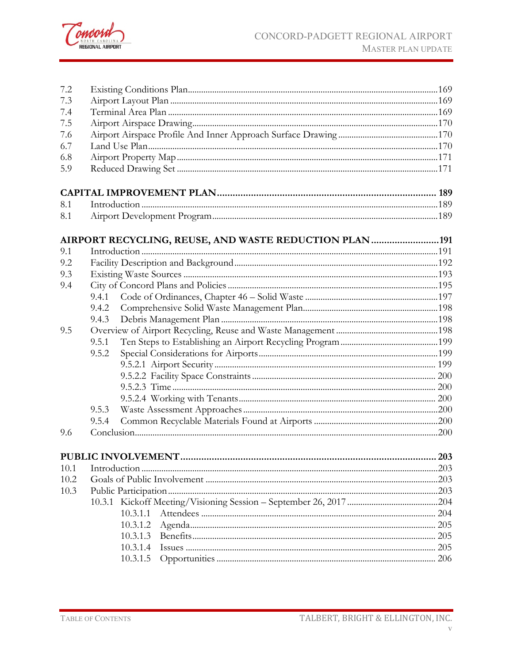

| 7.2  |                                                       |     |
|------|-------------------------------------------------------|-----|
| 7.3  |                                                       |     |
| 7.4  |                                                       |     |
| 7.5  |                                                       |     |
| 7.6  |                                                       |     |
| 6.7  |                                                       |     |
| 6.8  |                                                       |     |
| 5.9  |                                                       |     |
|      |                                                       |     |
| 8.1  |                                                       |     |
| 8.1  |                                                       |     |
|      | AIRPORT RECYCLING, REUSE, AND WASTE REDUCTION PLAN191 |     |
| 9.1  |                                                       |     |
| 9.2  |                                                       |     |
| 9.3  |                                                       |     |
| 9.4  |                                                       |     |
|      | 9.4.1                                                 |     |
|      | 9.4.2                                                 |     |
|      | 9.4.3                                                 |     |
| 9.5  |                                                       |     |
|      | 9.5.1                                                 |     |
|      | 9.5.2                                                 |     |
|      |                                                       |     |
|      |                                                       |     |
|      |                                                       |     |
|      |                                                       |     |
|      | 9.5.3                                                 |     |
|      | 9.5.4                                                 |     |
| 9.6  |                                                       |     |
|      | PUBLIC INVOLVEMENT.                                   | 203 |
| 10.1 |                                                       |     |
| 10.2 |                                                       |     |
| 10.3 |                                                       |     |
|      |                                                       |     |
|      | 10.3.1.1                                              |     |
|      | 10.3.1.2                                              | 205 |
|      | 10.3.1.3                                              | 205 |
|      | 10.3.1.4                                              |     |
|      | 10.3.1.5                                              | 206 |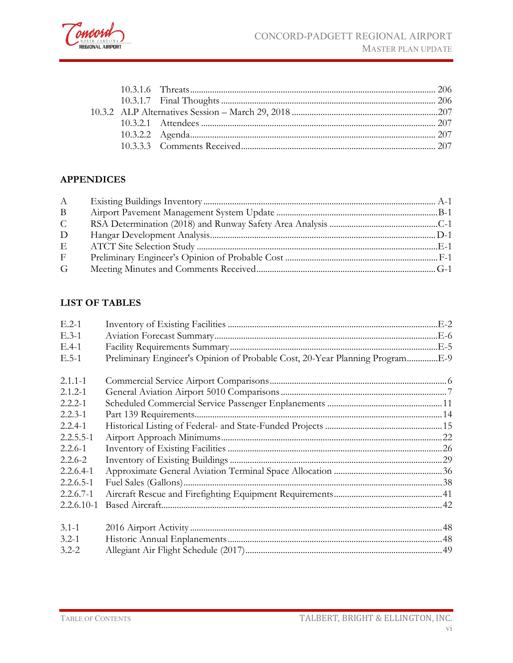

#### **APPENDICES**

| A            |  |
|--------------|--|
| B            |  |
| $\mathsf{C}$ |  |
| D            |  |
| Ε            |  |
| F            |  |
| G            |  |

#### **LIST OF TABLES**

| $E.2-1$        |                                                                              |  |
|----------------|------------------------------------------------------------------------------|--|
| $E.3-1$        |                                                                              |  |
| $E.4-1$        |                                                                              |  |
| $E.5-1$        | Preliminary Engineer's Opinion of Probable Cost, 20-Year Planning ProgramE-9 |  |
|                |                                                                              |  |
| $2.1.1 - 1$    |                                                                              |  |
| $2.1.2 - 1$    |                                                                              |  |
| $2.2.2 - 1$    |                                                                              |  |
| $2.2.3 - 1$    |                                                                              |  |
| $2.2.4 - 1$    |                                                                              |  |
| $2.2.5.5 - 1$  |                                                                              |  |
| $2.2.6 - 1$    |                                                                              |  |
| $2.2.6 - 2$    |                                                                              |  |
| $2.2.6.4-1$    |                                                                              |  |
| $2.2.6.5 - 1$  |                                                                              |  |
| $2.2.6.7 - 1$  |                                                                              |  |
| $2.2.6.10 - 1$ |                                                                              |  |
|                |                                                                              |  |
| $3.1 - 1$      |                                                                              |  |
| $3.2 - 1$      |                                                                              |  |
| $3.2 - 2$      |                                                                              |  |
|                |                                                                              |  |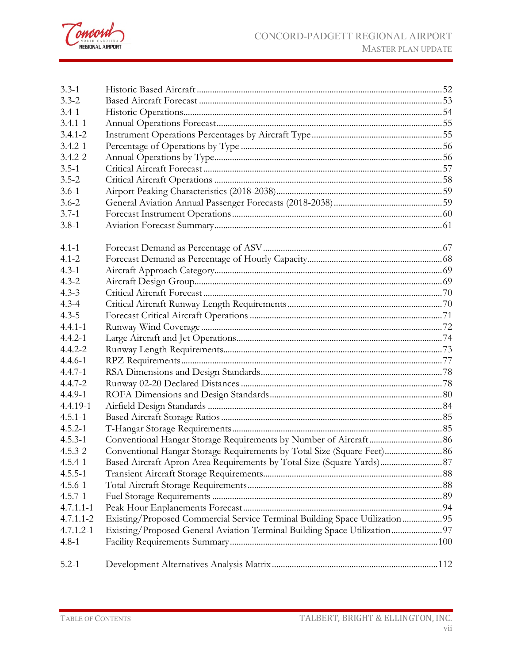

| $3.3 - 1$     |                                                                            |  |
|---------------|----------------------------------------------------------------------------|--|
| $3.3 - 2$     |                                                                            |  |
| $3.4 - 1$     |                                                                            |  |
| $3.4.1 - 1$   |                                                                            |  |
| $3.4.1 - 2$   |                                                                            |  |
| $3.4.2 - 1$   |                                                                            |  |
| $3.4.2 - 2$   |                                                                            |  |
| $3.5 - 1$     |                                                                            |  |
| $3.5 - 2$     |                                                                            |  |
| $3.6 - 1$     |                                                                            |  |
| $3.6 - 2$     |                                                                            |  |
| $3.7 - 1$     |                                                                            |  |
| $3.8 - 1$     |                                                                            |  |
| $4.1 - 1$     |                                                                            |  |
| $4.1 - 2$     |                                                                            |  |
| $4.3 - 1$     |                                                                            |  |
| $4.3 - 2$     |                                                                            |  |
| $4.3 - 3$     |                                                                            |  |
| $4.3 - 4$     |                                                                            |  |
| $4.3 - 5$     |                                                                            |  |
| $4.4.1 - 1$   |                                                                            |  |
| $4.4.2 - 1$   |                                                                            |  |
| $4.4.2 - 2$   |                                                                            |  |
| $4.4.6 - 1$   |                                                                            |  |
| $4.4.7 - 1$   |                                                                            |  |
| $4.4.7 - 2$   |                                                                            |  |
| $4.4.9 - 1$   |                                                                            |  |
| 4.4.19-1      |                                                                            |  |
| $4.5.1 - 1$   |                                                                            |  |
| $4.5.2 - 1$   |                                                                            |  |
| $4.5.3 - 1$   |                                                                            |  |
| $4.5.3 - 2$   | Conventional Hangar Storage Requirements by Total Size (Square Feet) 86    |  |
| $4.5.4-1$     | Based Aircraft Apron Area Requirements by Total Size (Square Yards) 87     |  |
| $4.5.5 - 1$   |                                                                            |  |
| $4.5.6 - 1$   |                                                                            |  |
| $4.5.7 - 1$   |                                                                            |  |
| $4.7.1.1 - 1$ |                                                                            |  |
| $4.7.1.1 - 2$ | Existing/Proposed Commercial Service Terminal Building Space Utilization95 |  |
| $4.7.1.2 - 1$ | Existing/Proposed General Aviation Terminal Building Space Utilization 97  |  |
| $4.8 - 1$     |                                                                            |  |
| $5.2 - 1$     |                                                                            |  |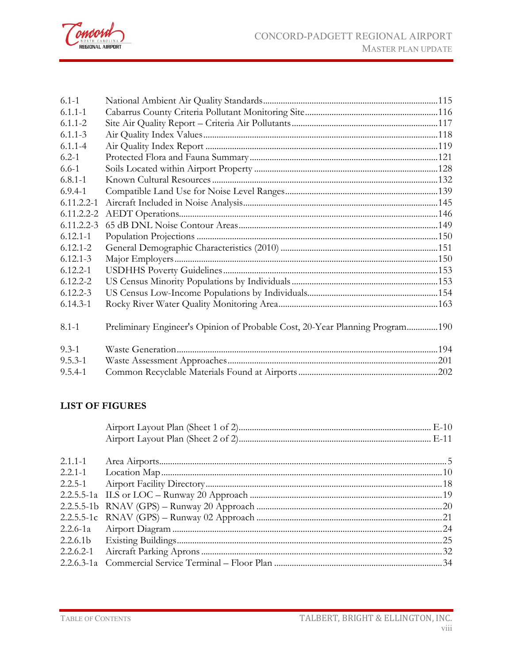

| $6.1 - 1$      |                                                                              |  |
|----------------|------------------------------------------------------------------------------|--|
| $6.1.1 - 1$    |                                                                              |  |
| $6.1.1 - 2$    |                                                                              |  |
| $6.1.1 - 3$    |                                                                              |  |
| $6.1.1 - 4$    |                                                                              |  |
| $6.2 - 1$      |                                                                              |  |
| $6.6 - 1$      |                                                                              |  |
| $6.8.1 - 1$    |                                                                              |  |
| $6.9.4 - 1$    |                                                                              |  |
| $6.11.2.2 - 1$ |                                                                              |  |
| $6.11.2.2 - 2$ |                                                                              |  |
| $6.11.2.2 - 3$ |                                                                              |  |
| $6.12.1 - 1$   |                                                                              |  |
| $6.12.1 - 2$   |                                                                              |  |
| $6.12.1 - 3$   |                                                                              |  |
| $6.12.2 - 1$   |                                                                              |  |
| $6.12.2 - 2$   |                                                                              |  |
| $6.12.2 - 3$   |                                                                              |  |
| $6.14.3 - 1$   |                                                                              |  |
| $8.1 - 1$      | Preliminary Engineer's Opinion of Probable Cost, 20-Year Planning Program190 |  |
| $9.3 - 1$      |                                                                              |  |
| $9.5.3 - 1$    |                                                                              |  |
| $9.5.4 - 1$    |                                                                              |  |

#### **LIST OF FIGURES**

| $2.1.1 - 1$ |  |
|-------------|--|
| $2.2.1 - 1$ |  |
| $2.2.5 - 1$ |  |
|             |  |
|             |  |
|             |  |
|             |  |
|             |  |
| 2.2.6.2-1   |  |
|             |  |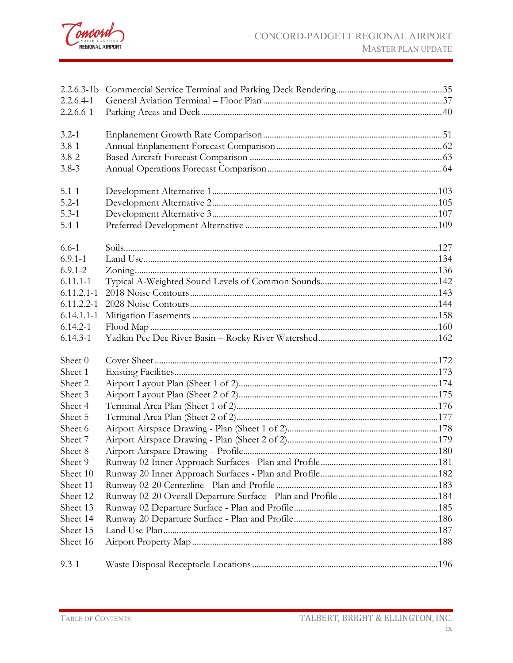

| $2.2.6.3 - 1b$ |  |
|----------------|--|
| $2.2.6.4-1$    |  |
| $2.2.6.6 - 1$  |  |
| $3.2 - 1$      |  |
| $3.8 - 1$      |  |
| $3.8 - 2$      |  |
| $3.8 - 3$      |  |
| $5.1 - 1$      |  |
| $5.2 - 1$      |  |
| $5.3 - 1$      |  |
| $5.4 - 1$      |  |
| $6.6 - 1$      |  |
| $6.9.1 - 1$    |  |
| $6.9.1 - 2$    |  |
| $6.11.1 - 1$   |  |
| $6.11.2.1 - 1$ |  |
| $6.11.2.2 - 1$ |  |
| $6.14.1.1 - 1$ |  |
| $6.14.2 - 1$   |  |
| $6.14.3 - 1$   |  |
| Sheet 0        |  |
| Sheet 1        |  |
| Sheet 2        |  |
| Sheet 3        |  |
| Sheet 4        |  |
| Sheet 5        |  |
| Sheet 6        |  |
| Sheet 7        |  |
| Sheet 8        |  |
| Sheet 9        |  |
| Sheet 10       |  |
| Sheet 11       |  |
| Sheet 12       |  |
| Sheet 13       |  |
| Sheet 14       |  |
| Sheet 15       |  |
| Sheet 16       |  |
| $9.3 - 1$      |  |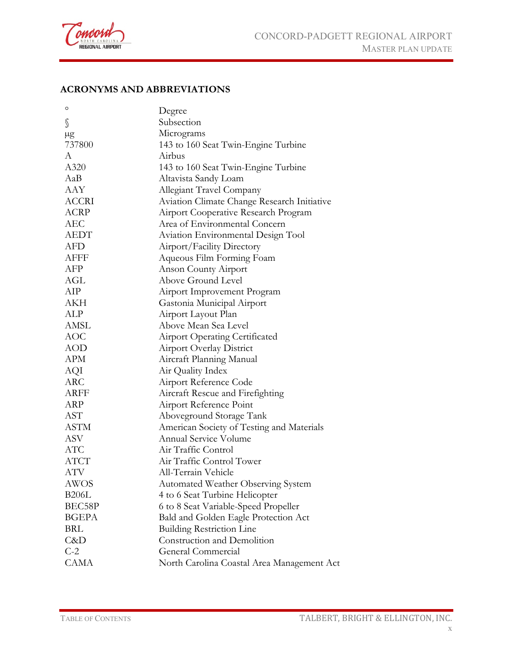

#### **ACRONYMS AND ABBREVIATIONS**

| o            | Degree                                             |
|--------------|----------------------------------------------------|
| S            | Subsection                                         |
| $\mu$ g      | Micrograms                                         |
| 737800       | 143 to 160 Seat Twin-Engine Turbine                |
| A            | Airbus                                             |
| A320         | 143 to 160 Seat Twin-Engine Turbine                |
| AaB          | Altavista Sandy Loam                               |
| AAY          | Allegiant Travel Company                           |
| <b>ACCRI</b> | <b>Aviation Climate Change Research Initiative</b> |
| ACRP         | Airport Cooperative Research Program               |
| AEC          | Area of Environmental Concern                      |
| <b>AEDT</b>  | Aviation Environmental Design Tool                 |
| AFD          | Airport/Facility Directory                         |
| AFFF         | Aqueous Film Forming Foam                          |
| AFP          | Anson County Airport                               |
| AGL          | Above Ground Level                                 |
| AIP          | Airport Improvement Program                        |
| AKH          | Gastonia Municipal Airport                         |
| ALP          | Airport Layout Plan                                |
| <b>AMSL</b>  | Above Mean Sea Level                               |
| AOC          | <b>Airport Operating Certificated</b>              |
| <b>AOD</b>   | <b>Airport Overlay District</b>                    |
| APM          | Aircraft Planning Manual                           |
| AQI          | Air Quality Index                                  |
| <b>ARC</b>   | Airport Reference Code                             |
| ARFF         | Aircraft Rescue and Firefighting                   |
| ARP          | Airport Reference Point                            |
| <b>AST</b>   | Aboveground Storage Tank                           |
| ASTM         | American Society of Testing and Materials          |
| ASV          | <b>Annual Service Volume</b>                       |
| ATC          | Air Traffic Control                                |
| <b>ATCT</b>  | Air Traffic Control Tower                          |
| ATV          | All-Terrain Vehicle                                |
| <b>AWOS</b>  | Automated Weather Observing System                 |
| <b>B206L</b> | 4 to 6 Seat Turbine Helicopter                     |
| BEC58P       | 6 to 8 Seat Variable-Speed Propeller               |
| <b>BGEPA</b> | Bald and Golden Eagle Protection Act               |
| <b>BRL</b>   | <b>Building Restriction Line</b>                   |
| C&D          | Construction and Demolition                        |
| $C-2$        | General Commercial                                 |
| <b>CAMA</b>  | North Carolina Coastal Area Management Act         |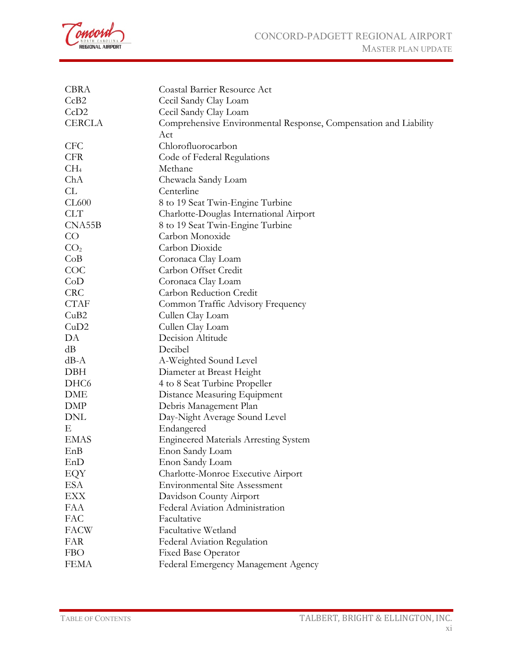

| <b>CBRA</b>      | Coastal Barrier Resource Act                                     |
|------------------|------------------------------------------------------------------|
| CcB2             | Cecil Sandy Clay Loam                                            |
| CcD2             | Cecil Sandy Clay Loam                                            |
| <b>CERCLA</b>    | Comprehensive Environmental Response, Compensation and Liability |
|                  | Act                                                              |
| <b>CFC</b>       | Chlorofluorocarbon                                               |
| <b>CFR</b>       | Code of Federal Regulations                                      |
| CH <sub>4</sub>  | Methane                                                          |
| ChA              | Chewacla Sandy Loam                                              |
| CL               | Centerline                                                       |
| CL600            | 8 to 19 Seat Twin-Engine Turbine                                 |
| <b>CLT</b>       | Charlotte-Douglas International Airport                          |
| CNA55B           | 8 to 19 Seat Twin-Engine Turbine                                 |
| CO               | Carbon Monoxide                                                  |
| CO <sub>2</sub>  | Carbon Dioxide                                                   |
| CoB              | Coronaca Clay Loam                                               |
| COC              | Carbon Offset Credit                                             |
| CoD              | Coronaca Clay Loam                                               |
| <b>CRC</b>       | Carbon Reduction Credit                                          |
| <b>CTAF</b>      | Common Traffic Advisory Frequency                                |
| CuB2             | Cullen Clay Loam                                                 |
| CuD2             | Cullen Clay Loam                                                 |
| DA               | Decision Altitude                                                |
| dB               | Decibel                                                          |
| $dB - A$         | A-Weighted Sound Level                                           |
| DBH              | Diameter at Breast Height                                        |
| DHC <sub>6</sub> | 4 to 8 Seat Turbine Propeller                                    |
| DME              | Distance Measuring Equipment                                     |
| DMP              | Debris Management Plan                                           |
| DNL              | Day-Night Average Sound Level                                    |
| Е                | Endangered                                                       |
| <b>EMAS</b>      | <b>Engineered Materials Arresting System</b>                     |
| EnB              | Enon Sandy Loam                                                  |
| EnD              | Enon Sandy Loam                                                  |
| EQY              | Charlotte-Monroe Executive Airport                               |
| ESA              | <b>Environmental Site Assessment</b>                             |
| EXX              | Davidson County Airport                                          |
| <b>FAA</b>       | Federal Aviation Administration                                  |
| FAC              | Facultative                                                      |
| <b>FACW</b>      | Facultative Wetland                                              |
| FAR              | Federal Aviation Regulation                                      |
| <b>FBO</b>       | <b>Fixed Base Operator</b>                                       |
| <b>FEMA</b>      | Federal Emergency Management Agency                              |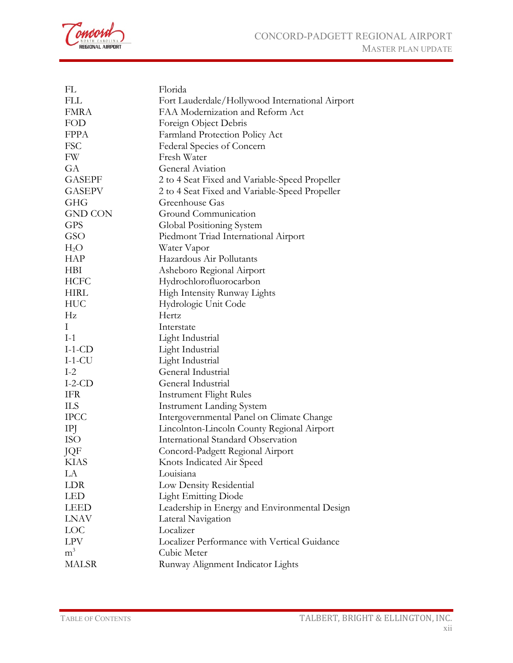

| FL             | Florida                                         |
|----------------|-------------------------------------------------|
| <b>FLL</b>     | Fort Lauderdale/Hollywood International Airport |
| <b>FMRA</b>    | FAA Modernization and Reform Act                |
| FOD            | Foreign Object Debris                           |
| <b>FPPA</b>    | Farmland Protection Policy Act                  |
| <b>FSC</b>     | Federal Species of Concern                      |
| FW             | Fresh Water                                     |
| GA             | General Aviation                                |
| <b>GASEPF</b>  | 2 to 4 Seat Fixed and Variable-Speed Propeller  |
| <b>GASEPV</b>  | 2 to 4 Seat Fixed and Variable-Speed Propeller  |
| <b>GHG</b>     | Greenhouse Gas                                  |
| <b>GND CON</b> | Ground Communication                            |
| <b>GPS</b>     | Global Positioning System                       |
| GSO            | Piedmont Triad International Airport            |
| $H_2O$         | Water Vapor                                     |
| <b>HAP</b>     | Hazardous Air Pollutants                        |
| <b>HBI</b>     | Asheboro Regional Airport                       |
| <b>HCFC</b>    | Hydrochlorofluorocarbon                         |
| <b>HIRL</b>    | High Intensity Runway Lights                    |
| HUC            | Hydrologic Unit Code                            |
| Hz             | Hertz                                           |
| $\mathbf{I}$   | Interstate                                      |
| $I-1$          | Light Industrial                                |
| $I-1-CD$       | Light Industrial                                |
| $I-1-CU$       | Light Industrial                                |
| $I-2$          | General Industrial                              |
| $I-2-CD$       | General Industrial                              |
| IFR            | <b>Instrument Flight Rules</b>                  |
| ШS             | <b>Instrument Landing System</b>                |
| <b>IPCC</b>    | Intergovernmental Panel on Climate Change       |
| IPJ            | Lincolnton-Lincoln County Regional Airport      |
| <b>ISO</b>     | <b>International Standard Observation</b>       |
| JQF            | Concord-Padgett Regional Airport                |
| <b>KIAS</b>    | Knots Indicated Air Speed                       |
| LA             | Louisiana                                       |
| <b>LDR</b>     | Low Density Residential                         |
| LED            | <b>Light Emitting Diode</b>                     |
| <b>LEED</b>    | Leadership in Energy and Environmental Design   |
| <b>LNAV</b>    | Lateral Navigation                              |
| <b>LOC</b>     | Localizer                                       |
| <b>LPV</b>     | Localizer Performance with Vertical Guidance    |
| m <sup>3</sup> | Cubic Meter                                     |
| <b>MALSR</b>   | Runway Alignment Indicator Lights               |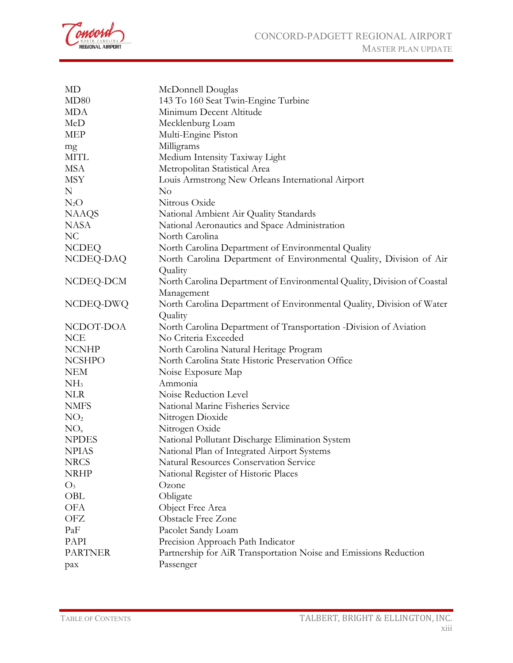

| MD              | McDonnell Douglas                                                       |
|-----------------|-------------------------------------------------------------------------|
| MD80            | 143 To 160 Seat Twin-Engine Turbine                                     |
| <b>MDA</b>      | Minimum Decent Altitude                                                 |
| MeD             | Mecklenburg Loam                                                        |
| <b>MEP</b>      | Multi-Engine Piston                                                     |
| mg              | Milligrams                                                              |
| MITL            | Medium Intensity Taxiway Light                                          |
| <b>MSA</b>      | Metropolitan Statistical Area                                           |
| <b>MSY</b>      | Louis Armstrong New Orleans International Airport                       |
| N               | No                                                                      |
| $N_2O$          | Nitrous Oxide                                                           |
| <b>NAAQS</b>    | National Ambient Air Quality Standards                                  |
| <b>NASA</b>     | National Aeronautics and Space Administration                           |
| N <sub>C</sub>  | North Carolina                                                          |
| <b>NCDEQ</b>    | North Carolina Department of Environmental Quality                      |
| NCDEQ-DAQ       | North Carolina Department of Environmental Quality, Division of Air     |
|                 | Quality                                                                 |
| NCDEQ-DCM       | North Carolina Department of Environmental Quality, Division of Coastal |
|                 | Management                                                              |
| NCDEQ-DWQ       | North Carolina Department of Environmental Quality, Division of Water   |
|                 | Quality                                                                 |
| NCDOT-DOA       | North Carolina Department of Transportation - Division of Aviation      |
| <b>NCE</b>      | No Criteria Exceeded                                                    |
| <b>NCNHP</b>    | North Carolina Natural Heritage Program                                 |
| <b>NCSHPO</b>   | North Carolina State Historic Preservation Office                       |
| <b>NEM</b>      | Noise Exposure Map                                                      |
| NH <sub>3</sub> | Ammonia                                                                 |
| <b>NLR</b>      | Noise Reduction Level                                                   |
| <b>NMFS</b>     | National Marine Fisheries Service                                       |
| NO <sub>2</sub> | Nitrogen Dioxide                                                        |
| NO <sub>x</sub> | Nitrogen Oxide                                                          |
| <b>NPDES</b>    | National Pollutant Discharge Elimination System                         |
| <b>NPIAS</b>    | National Plan of Integrated Airport Systems                             |
| <b>NRCS</b>     | <b>Natural Resources Conservation Service</b>                           |
| <b>NRHP</b>     | National Register of Historic Places                                    |
| $O_3$           | Ozone                                                                   |
| OBL             | Obligate                                                                |
| <b>OFA</b>      | Object Free Area                                                        |
| OFZ             | <b>Obstacle Free Zone</b>                                               |
| PaF             | Pacolet Sandy Loam                                                      |
| PAPI            | Precision Approach Path Indicator                                       |
| <b>PARTNER</b>  | Partnership for AiR Transportation Noise and Emissions Reduction        |
| pax             | Passenger                                                               |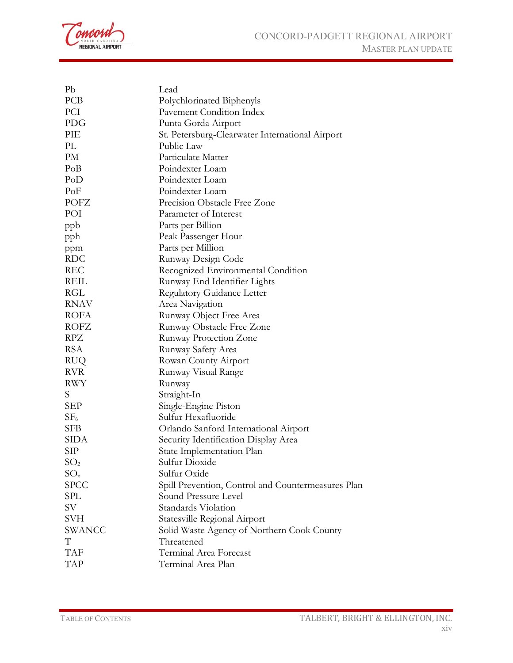oncord NORTH CAROLINA

| P <sub>b</sub>  | Lead                                               |
|-----------------|----------------------------------------------------|
| PCB             | Polychlorinated Biphenyls                          |
| PCI             | Pavement Condition Index                           |
| PDG             | Punta Gorda Airport                                |
| PIE             | St. Petersburg-Clearwater International Airport    |
| PL              | Public Law                                         |
| PM              | Particulate Matter                                 |
| PoB             | Poindexter Loam                                    |
| PoD             | Poindexter Loam                                    |
| PoF             | Poindexter Loam                                    |
| POFZ            | Precision Obstacle Free Zone                       |
| POI             | Parameter of Interest                              |
| ppb             | Parts per Billion                                  |
| pph             | Peak Passenger Hour                                |
| ppm             | Parts per Million                                  |
| <b>RDC</b>      | Runway Design Code                                 |
| <b>REC</b>      | Recognized Environmental Condition                 |
| REIL            | Runway End Identifier Lights                       |
| RGL             | <b>Regulatory Guidance Letter</b>                  |
| <b>RNAV</b>     | Area Navigation                                    |
| <b>ROFA</b>     | Runway Object Free Area                            |
| <b>ROFZ</b>     | Runway Obstacle Free Zone                          |
| RPZ             | Runway Protection Zone                             |
| <b>RSA</b>      | Runway Safety Area                                 |
| <b>RUQ</b>      | Rowan County Airport                               |
| <b>RVR</b>      | Runway Visual Range                                |
| RWY             | Runway                                             |
| S.              | Straight-In                                        |
| SEP             | Single-Engine Piston                               |
| SF <sub>6</sub> | Sulfur Hexafluoride                                |
| SFB             | Orlando Sanford International Airport              |
| SIDA            | Security Identification Display Area               |
| SIP             | State Implementation Plan                          |
| SO <sub>2</sub> | Sulfur Dioxide                                     |
| $SO_{x}$        | Sulfur Oxide                                       |
| <b>SPCC</b>     | Spill Prevention, Control and Countermeasures Plan |
| SPL             | Sound Pressure Level                               |
| SV              | Standards Violation                                |
| SVH             | Statesville Regional Airport                       |
| <b>SWANCC</b>   | Solid Waste Agency of Northern Cook County         |
| T               | Threatened                                         |
| <b>TAF</b>      | Terminal Area Forecast                             |
| <b>TAP</b>      | Terminal Area Plan                                 |